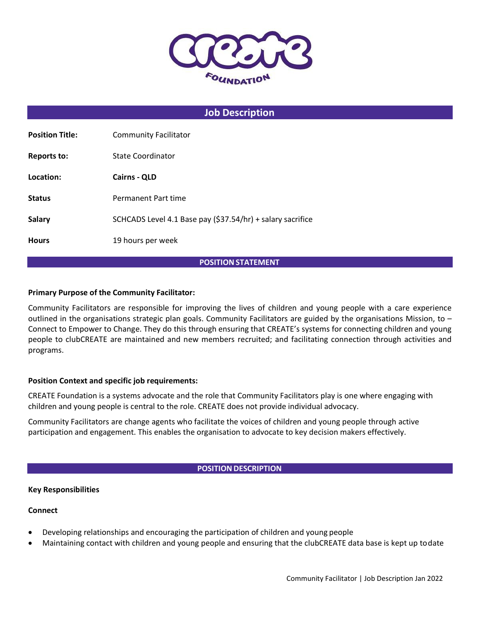

# **Job Description**

| <b>Position Title:</b> | <b>Community Facilitator</b>                               |
|------------------------|------------------------------------------------------------|
| <b>Reports to:</b>     | State Coordinator                                          |
| Location:              | <b>Cairns - QLD</b>                                        |
| <b>Status</b>          | Permanent Part time                                        |
| <b>Salary</b>          | SCHCADS Level 4.1 Base pay (\$37.54/hr) + salary sacrifice |
| <b>Hours</b>           | 19 hours per week                                          |

### **POSITION STATEMENT**

### **Primary Purpose of the Community Facilitator:**

Community Facilitators are responsible for improving the lives of children and young people with a care experience outlined in the organisations strategic plan goals. Community Facilitators are guided by the organisations Mission, to  $-$ Connect to Empower to Change. They do this through ensuring that CREATE's systems for connecting children and young people to clubCREATE are maintained and new members recruited; and facilitating connection through activities and programs.

### **Position Context and specific job requirements:**

CREATE Foundation is a systems advocate and the role that Community Facilitators play is one where engaging with children and young people is central to the role. CREATE does not provide individual advocacy.

Community Facilitators are change agents who facilitate the voices of children and young people through active participation and engagement. This enables the organisation to advocate to key decision makers effectively.

### **POSITION DESCRIPTION**

### **Key Responsibilities**

### **Connect**

- Developing relationships and encouraging the participation of children and young people
- Maintaining contact with children and young people and ensuring that the clubCREATE data base is kept up todate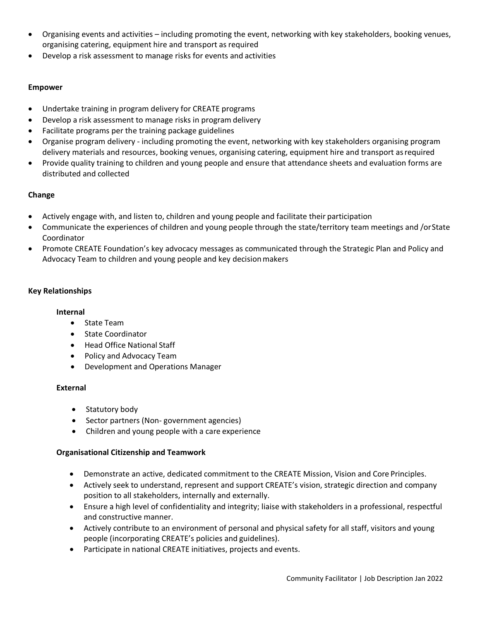- Organising events and activities including promoting the event, networking with key stakeholders, booking venues, organising catering, equipment hire and transport as required
- Develop a risk assessment to manage risks for events and activities

## **Empower**

- Undertake training in program delivery for CREATE programs
- Develop a risk assessment to manage risks in program delivery
- Facilitate programs per the training package guidelines
- Organise program delivery including promoting the event, networking with key stakeholders organising program delivery materials and resources, booking venues, organising catering, equipment hire and transport asrequired
- Provide quality training to children and young people and ensure that attendance sheets and evaluation forms are distributed and collected

# **Change**

- Actively engage with, and listen to, children and young people and facilitate their participation
- Communicate the experiences of children and young people through the state/territory team meetings and /orState Coordinator
- Promote CREATE Foundation's key advocacy messages as communicated through the Strategic Plan and Policy and Advocacy Team to children and young people and key decision makers

## **Key Relationships**

## **Internal**

- State Team
- State Coordinator
- Head Office National Staff
- Policy and Advocacy Team
- Development and Operations Manager

## **External**

- Statutory body
- Sector partners (Non- government agencies)
- Children and young people with a care experience

## **Organisational Citizenship and Teamwork**

- Demonstrate an active, dedicated commitment to the CREATE Mission, Vision and Core Principles.
- Actively seek to understand, represent and support CREATE's vision, strategic direction and company position to all stakeholders, internally and externally.
- Ensure a high level of confidentiality and integrity; liaise with stakeholders in a professional, respectful and constructive manner.
- Actively contribute to an environment of personal and physical safety for all staff, visitors and young people (incorporating CREATE's policies and guidelines).
- Participate in national CREATE initiatives, projects and events.